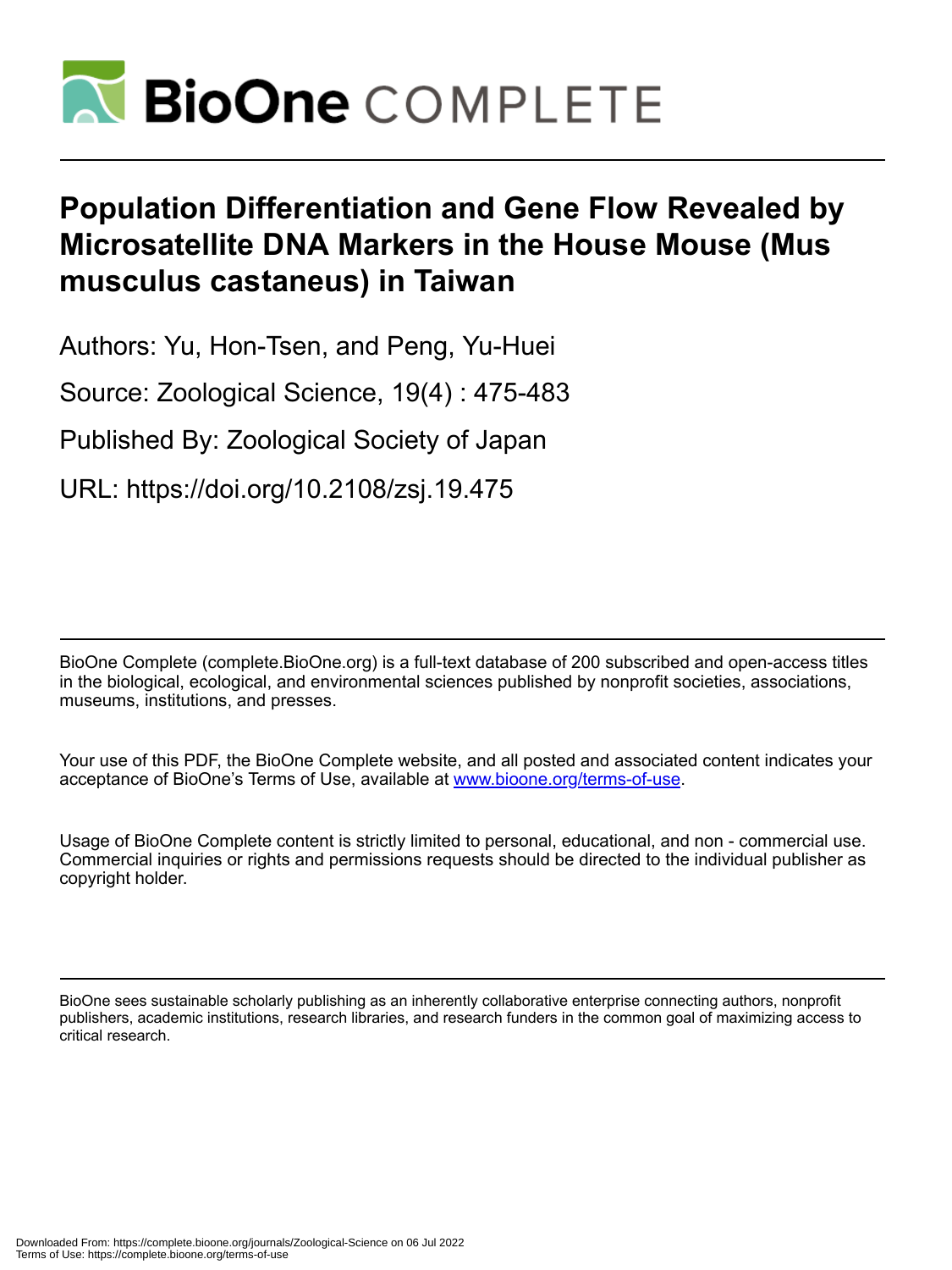

# **Population Differentiation and Gene Flow Revealed by Microsatellite DNA Markers in the House Mouse (Mus musculus castaneus) in Taiwan**

Authors: Yu, Hon-Tsen, and Peng, Yu-Huei

Source: Zoological Science, 19(4) : 475-483

Published By: Zoological Society of Japan

URL: https://doi.org/10.2108/zsj.19.475

BioOne Complete (complete.BioOne.org) is a full-text database of 200 subscribed and open-access titles in the biological, ecological, and environmental sciences published by nonprofit societies, associations, museums, institutions, and presses.

Your use of this PDF, the BioOne Complete website, and all posted and associated content indicates your acceptance of BioOne's Terms of Use, available at www.bioone.org/terms-of-use.

Usage of BioOne Complete content is strictly limited to personal, educational, and non - commercial use. Commercial inquiries or rights and permissions requests should be directed to the individual publisher as copyright holder.

BioOne sees sustainable scholarly publishing as an inherently collaborative enterprise connecting authors, nonprofit publishers, academic institutions, research libraries, and research funders in the common goal of maximizing access to critical research.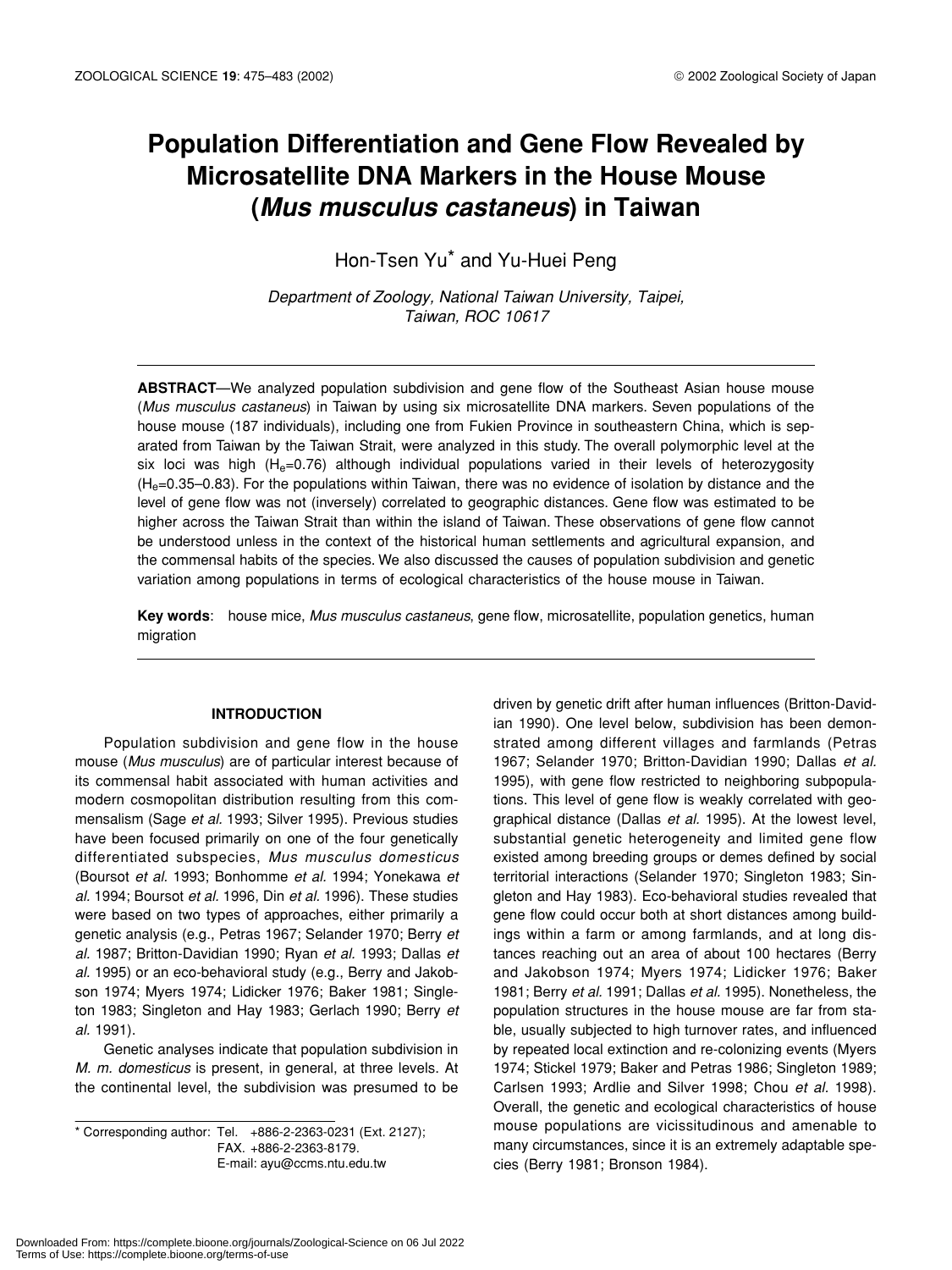# **Population Differentiation and Gene Flow Revealed by Microsatellite DNA Markers in the House Mouse (***Mus musculus castaneus***) in Taiwan**

Hon-Tsen Yu\* and Yu-Huei Peng

*Department of Zoology, National Taiwan University, Taipei, Taiwan, ROC 10617*

**ABSTRACT**—We analyzed population subdivision and gene flow of the Southeast Asian house mouse (*Mus musculus castaneus*) in Taiwan by using six microsatellite DNA markers. Seven populations of the house mouse (187 individuals), including one from Fukien Province in southeastern China, which is separated from Taiwan by the Taiwan Strait, were analyzed in this study. The overall polymorphic level at the six loci was high ( $H<sub>e</sub>=0.76$ ) although individual populations varied in their levels of heterozygosity  $(H<sub>e</sub>=0.35-0.83)$ . For the populations within Taiwan, there was no evidence of isolation by distance and the level of gene flow was not (inversely) correlated to geographic distances. Gene flow was estimated to be higher across the Taiwan Strait than within the island of Taiwan. These observations of gene flow cannot be understood unless in the context of the historical human settlements and agricultural expansion, and the commensal habits of the species. We also discussed the causes of population subdivision and genetic variation among populations in terms of ecological characteristics of the house mouse in Taiwan.

**Key words**: house mice, *Mus musculus castaneus*, gene flow, microsatellite, population genetics, human migration

# **INTRODUCTION**

Population subdivision and gene flow in the house mouse (*Mus musculus*) are of particular interest because of its commensal habit associated with human activities and modern cosmopolitan distribution resulting from this commensalism (Sage *et al.* 1993; Silver 1995). Previous studies have been focused primarily on one of the four genetically differentiated subspecies, *Mus musculus domesticus* (Boursot *et al.* 1993; Bonhomme *et al.* 1994; Yonekawa *et al.* 1994; Boursot *et al.* 1996, Din *et al.* 1996). These studies were based on two types of approaches, either primarily a genetic analysis (e.g., Petras 1967; Selander 1970; Berry *et al.* 1987; Britton-Davidian 1990; Ryan *et al.* 1993; Dallas *et al.* 1995) or an eco-behavioral study (e.g., Berry and Jakobson 1974; Myers 1974; Lidicker 1976; Baker 1981; Singleton 1983; Singleton and Hay 1983; Gerlach 1990; Berry *et al.* 1991).

Genetic analyses indicate that population subdivision in *M. m. domesticus* is present, in general, at three levels. At the continental level, the subdivision was presumed to be

\* Corresponding author: Tel. +886-2-2363-0231 (Ext. 2127); FAX. +886-2-2363-8179. E-mail: ayu@ccms.ntu.edu.tw

driven by genetic drift after human influences (Britton-Davidian 1990). One level below, subdivision has been demonstrated among different villages and farmlands (Petras 1967; Selander 1970; Britton-Davidian 1990; Dallas *et al.* 1995), with gene flow restricted to neighboring subpopulations. This level of gene flow is weakly correlated with geographical distance (Dallas *et al.* 1995). At the lowest level, substantial genetic heterogeneity and limited gene flow existed among breeding groups or demes defined by social territorial interactions (Selander 1970; Singleton 1983; Singleton and Hay 1983). Eco-behavioral studies revealed that gene flow could occur both at short distances among buildings within a farm or among farmlands, and at long distances reaching out an area of about 100 hectares (Berry and Jakobson 1974; Myers 1974; Lidicker 1976; Baker 1981; Berry *et al.* 1991; Dallas *et al.* 1995). Nonetheless, the population structures in the house mouse are far from stable, usually subjected to high turnover rates, and influenced by repeated local extinction and re-colonizing events (Myers 1974; Stickel 1979; Baker and Petras 1986; Singleton 1989; Carlsen 1993; Ardlie and Silver 1998; Chou *et al.* 1998). Overall, the genetic and ecological characteristics of house mouse populations are vicissitudinous and amenable to many circumstances, since it is an extremely adaptable species (Berry 1981; Bronson 1984).

Downloaded From: https://complete.bioone.org/journals/Zoological-Science on 06 Jul 2022 Terms of Use: https://complete.bioone.org/terms-of-use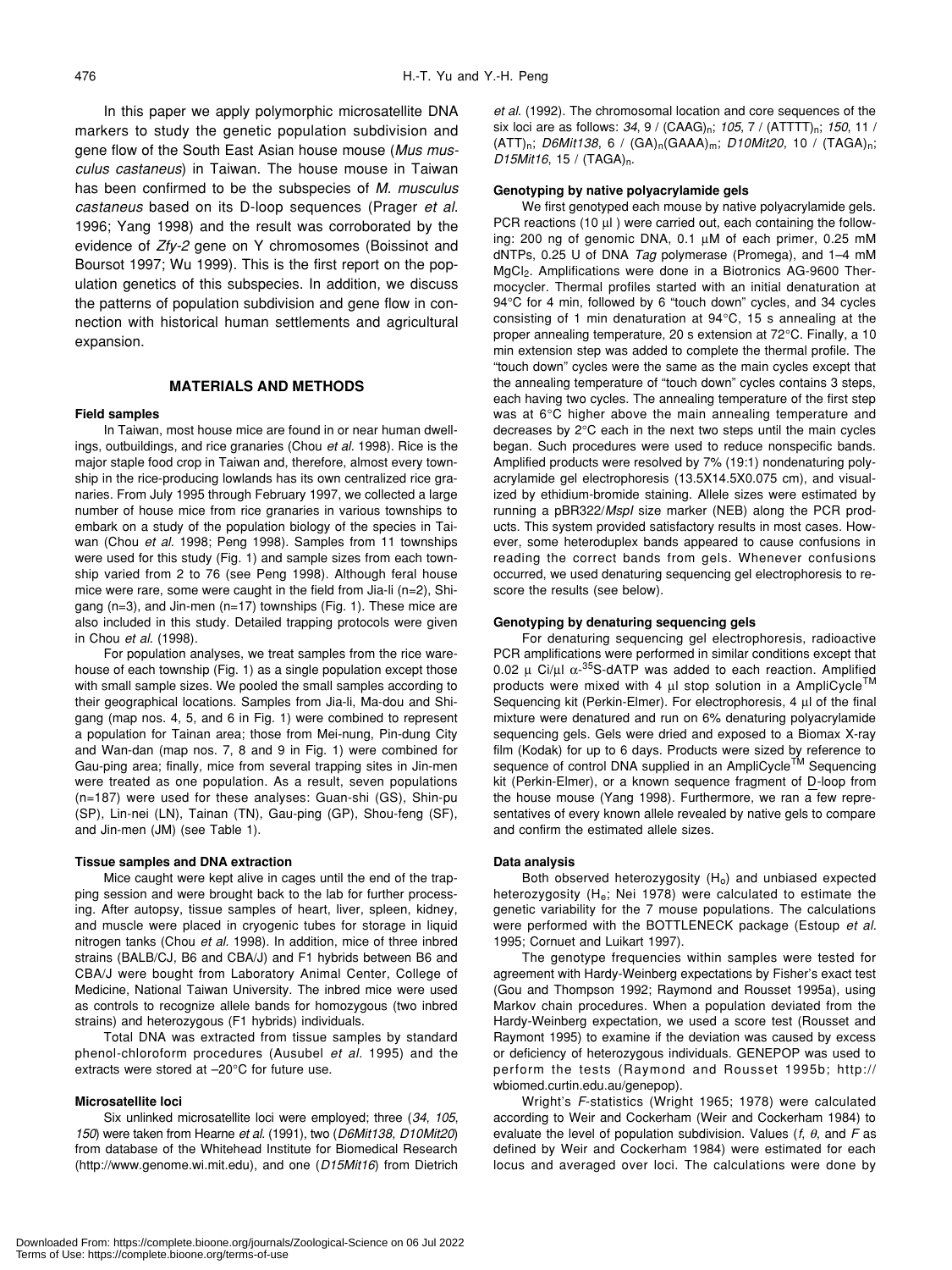In this paper we apply polymorphic microsatellite DNA markers to study the genetic population subdivision and gene flow of the South East Asian house mouse (*Mus musculus castaneus*) in Taiwan. The house mouse in Taiwan has been confirmed to be the subspecies of *M. musculus castaneus* based on its D-loop sequences (Prager *et al*. 1996; Yang 1998) and the result was corroborated by the evidence of *Zfy-2* gene on Y chromosomes (Boissinot and Boursot 1997; Wu 1999). This is the first report on the population genetics of this subspecies. In addition, we discuss the patterns of population subdivision and gene flow in connection with historical human settlements and agricultural expansion.

# **MATERIALS AND METHODS**

# **Field samples**

In Taiwan, most house mice are found in or near human dwellings, outbuildings, and rice granaries (Chou *et al.* 1998). Rice is the major staple food crop in Taiwan and, therefore, almost every township in the rice-producing lowlands has its own centralized rice granaries. From July 1995 through February 1997, we collected a large number of house mice from rice granaries in various townships to embark on a study of the population biology of the species in Taiwan (Chou *et al.* 1998; Peng 1998). Samples from 11 townships were used for this study (Fig. 1) and sample sizes from each township varied from 2 to 76 (see Peng 1998). Although feral house mice were rare, some were caught in the field from Jia-li (n=2), Shigang (n=3), and Jin-men (n=17) townships (Fig. 1). These mice are also included in this study. Detailed trapping protocols were given in Chou *et al.* (1998).

For population analyses, we treat samples from the rice warehouse of each township (Fig. 1) as a single population except those with small sample sizes. We pooled the small samples according to their geographical locations. Samples from Jia-li, Ma-dou and Shigang (map nos. 4, 5, and 6 in Fig. 1) were combined to represent a population for Tainan area; those from Mei-nung, Pin-dung City and Wan-dan (map nos. 7, 8 and 9 in Fig. 1) were combined for Gau-ping area; finally, mice from several trapping sites in Jin-men were treated as one population. As a result, seven populations (n=187) were used for these analyses: Guan-shi (GS), Shin-pu (SP), Lin-nei (LN), Tainan (TN), Gau-ping (GP), Shou-feng (SF), and Jin-men (JM) (see Table 1).

#### **Tissue samples and DNA extraction**

Mice caught were kept alive in cages until the end of the trapping session and were brought back to the lab for further processing. After autopsy, tissue samples of heart, liver, spleen, kidney, and muscle were placed in cryogenic tubes for storage in liquid nitrogen tanks (Chou *et al.* 1998). In addition, mice of three inbred strains (BALB/CJ, B6 and CBA/J) and F1 hybrids between B6 and CBA/J were bought from Laboratory Animal Center, College of Medicine, National Taiwan University. The inbred mice were used as controls to recognize allele bands for homozygous (two inbred strains) and heterozygous (F1 hybrids) individuals.

Total DNA was extracted from tissue samples by standard phenol-chloroform procedures (Ausubel *et al.* 1995) and the extracts were stored at –20°C for future use.

## **Microsatellite loci**

Six unlinked microsatellite loci were employed; three (*34*, *105*, *150*) were taken from Hearne *et al.* (1991), two (*D6Mit138*, *D10Mit20*) from database of the Whitehead Institute for Biomedical Research (http://www.genome.wi.mit.edu), and one (*D15Mit16*) from Dietrich

*et al.* (1992). The chromosomal location and core sequences of the six loci are as follows: 34, 9 / (CAAG)<sub>n</sub>; 105, 7 / (ATTTT)<sub>n</sub>; 150, 11 / (ATT)n; *D6Mit138*, 6 / (GA)n(GAAA)m; *D10Mit20*, 10 / (TAGA)n; *D15Mit16*, 15 / (TAGA)<sub>n</sub>.

#### **Genotyping by native polyacrylamide gels**

We first genotyped each mouse by native polyacrylamide gels. PCR reactions (10 µl) were carried out, each containing the following: 200 ng of genomic DNA, 0.1 µM of each primer, 0.25 mM dNTPs, 0.25 U of DNA *Tag* polymerase (Promega), and 1–4 mM MgCl2. Amplifications were done in a Biotronics AG-9600 Thermocycler. Thermal profiles started with an initial denaturation at 94°C for 4 min, followed by 6 "touch down" cycles, and 34 cycles consisting of 1 min denaturation at 94°C, 15 s annealing at the proper annealing temperature, 20 s extension at 72°C. Finally, a 10 min extension step was added to complete the thermal profile. The "touch down" cycles were the same as the main cycles except that the annealing temperature of "touch down" cycles contains 3 steps, each having two cycles. The annealing temperature of the first step was at 6°C higher above the main annealing temperature and decreases by 2°C each in the next two steps until the main cycles began. Such procedures were used to reduce nonspecific bands. Amplified products were resolved by 7% (19:1) nondenaturing polyacrylamide gel electrophoresis (13.5X14.5X0.075 cm), and visualized by ethidium-bromide staining. Allele sizes were estimated by running a pBR322/*MspI* size marker (NEB) along the PCR products. This system provided satisfactory results in most cases. However, some heteroduplex bands appeared to cause confusions in reading the correct bands from gels. Whenever confusions occurred, we used denaturing sequencing gel electrophoresis to rescore the results (see below).

#### **Genotyping by denaturing sequencing gels**

For denaturing sequencing gel electrophoresis, radioactive PCR amplifications were performed in similar conditions except that 0.02 μ Ci/μl  $\alpha$ -<sup>35</sup>S-dATP was added to each reaction. Amplified products were mixed with 4  $\mu$ l stop solution in a AmpliCycle<sup>TM</sup> Sequencing kit (Perkin-Elmer). For electrophoresis, 4 µl of the final mixture were denatured and run on 6% denaturing polyacrylamide sequencing gels. Gels were dried and exposed to a Biomax X-ray film (Kodak) for up to 6 days. Products were sized by reference to sequence of control DNA supplied in an AmpliCycle<sup>TM</sup> Sequencing kit (Perkin-Elmer), or a known sequence fragment of D-loop from the house mouse (Yang 1998). Furthermore, we ran a few representatives of every known allele revealed by native gels to compare and confirm the estimated allele sizes.

#### **Data analysis**

Both observed heterozygosity  $(H<sub>o</sub>)$  and unbiased expected heterozygosity (H<sub>e</sub>; Nei 1978) were calculated to estimate the genetic variability for the 7 mouse populations. The calculations were performed with the BOTTLENECK package (Estoup *et al.* 1995; Cornuet and Luikart 1997).

The genotype frequencies within samples were tested for agreement with Hardy-Weinberg expectations by Fisher's exact test (Gou and Thompson 1992; Raymond and Rousset 1995a), using Markov chain procedures. When a population deviated from the Hardy-Weinberg expectation, we used a score test (Rousset and Raymont 1995) to examine if the deviation was caused by excess or deficiency of heterozygous individuals. GENEPOP was used to perform the tests (Raymond and Rousset 1995b; http:// wbiomed.curtin.edu.au/genepop).

Wright's *F*-statistics (Wright 1965; 1978) were calculated according to Weir and Cockerham (Weir and Cockerham 1984) to evaluate the level of population subdivision. Values (*f*, θ, and *F* as defined by Weir and Cockerham 1984) were estimated for each locus and averaged over loci. The calculations were done by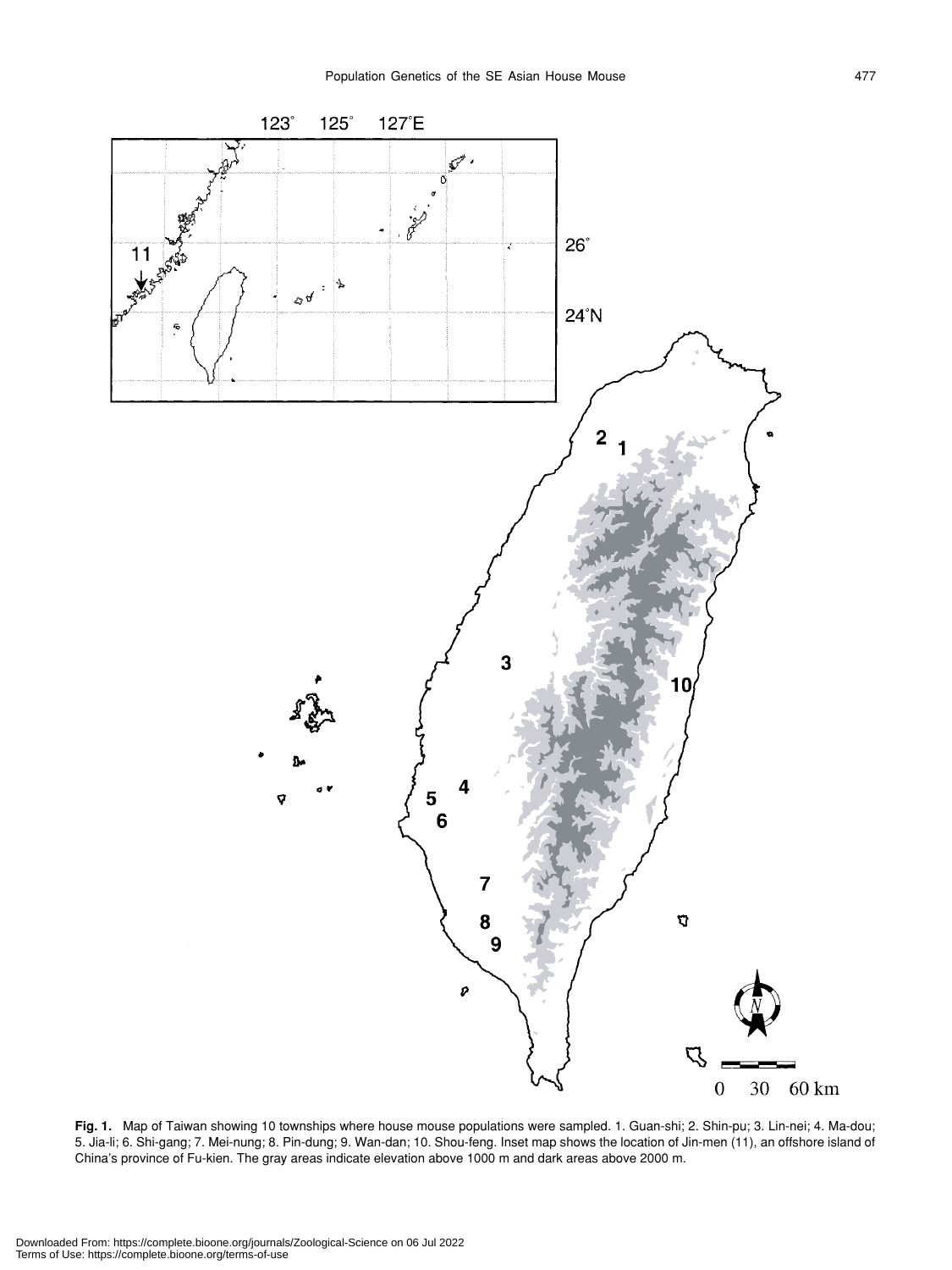

**Fig. 1.** Map of Taiwan showing 10 townships where house mouse populations were sampled. 1. Guan-shi; 2. Shin-pu; 3. Lin-nei; 4. Ma-dou; 5. Jia-li; 6. Shi-gang; 7. Mei-nung; 8. Pin-dung; 9. Wan-dan; 10. Shou-feng. Inset map shows the location of Jin-men (11), an offshore island of China's province of Fu-kien. The gray areas indicate elevation above 1000 m and dark areas above 2000 m.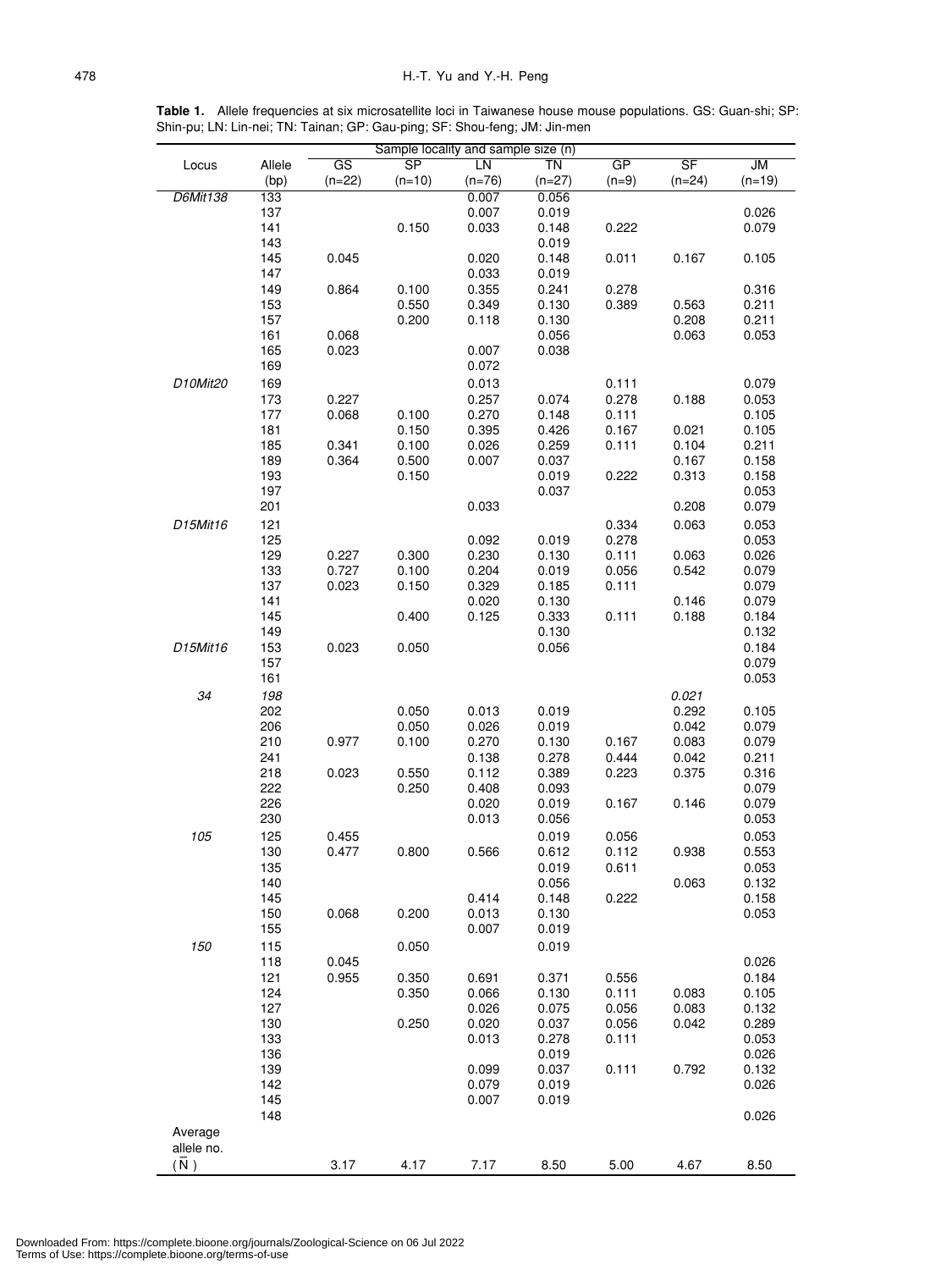**Table 1.** Allele frequencies at six microsatellite loci in Taiwanese house mouse populations. GS: Guan-shi; SP: Shin-pu; LN: Lin-nei; TN: Tainan; GP: Gau-ping; SF: Shou-feng; JM: Jin-men

|                 |        |          |                        | Sample locality and sample size (n) |          |         |          |           |
|-----------------|--------|----------|------------------------|-------------------------------------|----------|---------|----------|-----------|
| Locus           | Allele | GS       | $\overline{\text{SP}}$ | LN                                  | ΤN       | GP      | SF       | <b>JM</b> |
|                 | (bp)   | $(n=22)$ | $(n=10)$               | $(n=76)$                            | $(n=27)$ | $(n=9)$ | $(n=24)$ | $(n=19)$  |
| <b>D6Mit138</b> | 133    |          |                        | 0.007                               | 0.056    |         |          |           |
|                 | 137    |          |                        | 0.007                               | 0.019    |         |          | 0.026     |
|                 | 141    |          | 0.150                  | 0.033                               | 0.148    | 0.222   |          | 0.079     |
|                 | 143    |          |                        |                                     | 0.019    |         |          |           |
|                 | 145    | 0.045    |                        | 0.020                               | 0.148    | 0.011   | 0.167    | 0.105     |
|                 | 147    |          |                        |                                     |          |         |          |           |
|                 | 149    |          |                        | 0.033                               | 0.019    |         |          |           |
|                 |        | 0.864    | 0.100                  | 0.355                               | 0.241    | 0.278   |          | 0.316     |
|                 | 153    |          | 0.550                  | 0.349                               | 0.130    | 0.389   | 0.563    | 0.211     |
|                 | 157    |          | 0.200                  | 0.118                               | 0.130    |         | 0.208    | 0.211     |
|                 | 161    | 0.068    |                        |                                     | 0.056    |         | 0.063    | 0.053     |
|                 | 165    | 0.023    |                        | 0.007                               | 0.038    |         |          |           |
|                 | 169    |          |                        | 0.072                               |          |         |          |           |
| D10Mit20        | 169    |          |                        | 0.013                               |          | 0.111   |          | 0.079     |
|                 | 173    | 0.227    |                        | 0.257                               | 0.074    | 0.278   | 0.188    | 0.053     |
|                 | 177    | 0.068    | 0.100                  | 0.270                               | 0.148    | 0.111   |          | 0.105     |
|                 | 181    |          | 0.150                  | 0.395                               | 0.426    | 0.167   | 0.021    | 0.105     |
|                 | 185    | 0.341    | 0.100                  | 0.026                               | 0.259    | 0.111   | 0.104    | 0.211     |
|                 | 189    | 0.364    | 0.500                  | 0.007                               | 0.037    |         | 0.167    | 0.158     |
|                 | 193    |          | 0.150                  |                                     | 0.019    | 0.222   | 0.313    | 0.158     |
|                 | 197    |          |                        |                                     | 0.037    |         |          | 0.053     |
|                 | 201    |          |                        | 0.033                               |          |         | 0.208    | 0.079     |
|                 |        |          |                        |                                     |          |         |          |           |
| D15Mit16        | 121    |          |                        |                                     |          | 0.334   | 0.063    | 0.053     |
|                 | 125    |          |                        | 0.092                               | 0.019    | 0.278   |          | 0.053     |
|                 | 129    | 0.227    | 0.300                  | 0.230                               | 0.130    | 0.111   | 0.063    | 0.026     |
|                 | 133    | 0.727    | 0.100                  | 0.204                               | 0.019    | 0.056   | 0.542    | 0.079     |
|                 | 137    | 0.023    | 0.150                  | 0.329                               | 0.185    | 0.111   |          | 0.079     |
|                 | 141    |          |                        | 0.020                               | 0.130    |         | 0.146    | 0.079     |
|                 | 145    |          | 0.400                  | 0.125                               | 0.333    | 0.111   | 0.188    | 0.184     |
|                 | 149    |          |                        |                                     | 0.130    |         |          | 0.132     |
| D15Mit16        | 153    | 0.023    | 0.050                  |                                     | 0.056    |         |          | 0.184     |
|                 | 157    |          |                        |                                     |          |         |          | 0.079     |
|                 | 161    |          |                        |                                     |          |         |          | 0.053     |
| 34              | 198    |          |                        |                                     |          |         | 0.021    |           |
|                 | 202    |          | 0.050                  | 0.013                               | 0.019    |         | 0.292    | 0.105     |
|                 | 206    |          | 0.050                  | 0.026                               | 0.019    |         | 0.042    | 0.079     |
|                 | 210    | 0.977    | 0.100                  | 0.270                               | 0.130    | 0.167   | 0.083    | 0.079     |
|                 | 241    |          |                        | 0.138                               | 0.278    | 0.444   | 0.042    |           |
|                 |        |          |                        |                                     |          |         | 0.375    | 0.211     |
|                 | 218    | 0.023    | 0.550                  | 0.112                               | 0.389    | 0.223   |          | 0.316     |
|                 | 222    |          | 0.250                  | 0.408                               | 0.093    |         |          | 0.079     |
|                 | 226    |          |                        | 0.020                               | 0.019    | 0.167   | 0.146    | 0.079     |
|                 | 230    |          |                        | 0.013                               | 0.056    |         |          | 0.053     |
| 105             | 125    | 0.455    |                        |                                     | 0.019    | 0.056   |          | 0.053     |
|                 | 130    | 0.477    | 0.800                  | 0.566                               | 0.612    | 0.112   | 0.938    | 0.553     |
|                 | 135    |          |                        |                                     | 0.019    | 0.611   |          | 0.053     |
|                 | 140    |          |                        |                                     | 0.056    |         | 0.063    | 0.132     |
|                 | 145    |          |                        | 0.414                               | 0.148    | 0.222   |          | 0.158     |
|                 | 150    | 0.068    | 0.200                  | 0.013                               | 0.130    |         |          | 0.053     |
|                 | 155    |          |                        | 0.007                               | 0.019    |         |          |           |
| 150             | 115    |          | 0.050                  |                                     | 0.019    |         |          |           |
|                 | 118    | 0.045    |                        |                                     |          |         |          | 0.026     |
|                 | 121    | 0.955    | 0.350                  | 0.691                               | 0.371    | 0.556   |          | 0.184     |
|                 | 124    |          | 0.350                  | 0.066                               | 0.130    | 0.111   | 0.083    | 0.105     |
|                 | 127    |          |                        | 0.026                               | 0.075    | 0.056   | 0.083    | 0.132     |
|                 |        |          |                        |                                     |          |         |          |           |
|                 | 130    |          | 0.250                  | 0.020                               | 0.037    | 0.056   | 0.042    | 0.289     |
|                 | 133    |          |                        | 0.013                               | 0.278    | 0.111   |          | 0.053     |
|                 | 136    |          |                        |                                     | 0.019    |         |          | 0.026     |
|                 | 139    |          |                        | 0.099                               | 0.037    | 0.111   | 0.792    | 0.132     |
|                 | 142    |          |                        | 0.079                               | 0.019    |         |          | 0.026     |
|                 | 145    |          |                        | 0.007                               | 0.019    |         |          |           |
|                 | 148    |          |                        |                                     |          |         |          | 0.026     |
| Average         |        |          |                        |                                     |          |         |          |           |
| allele no.      |        |          |                        |                                     |          |         |          |           |
| $(\bar{N})$     |        | 3.17     | 4.17                   | 7.17                                | 8.50     | 5.00    | 4.67     | 8.50      |
|                 |        |          |                        |                                     |          |         |          |           |

Downloaded From: https://complete.bioone.org/journals/Zoological-Science on 06 Jul 2022 Terms of Use: https://complete.bioone.org/terms-of-use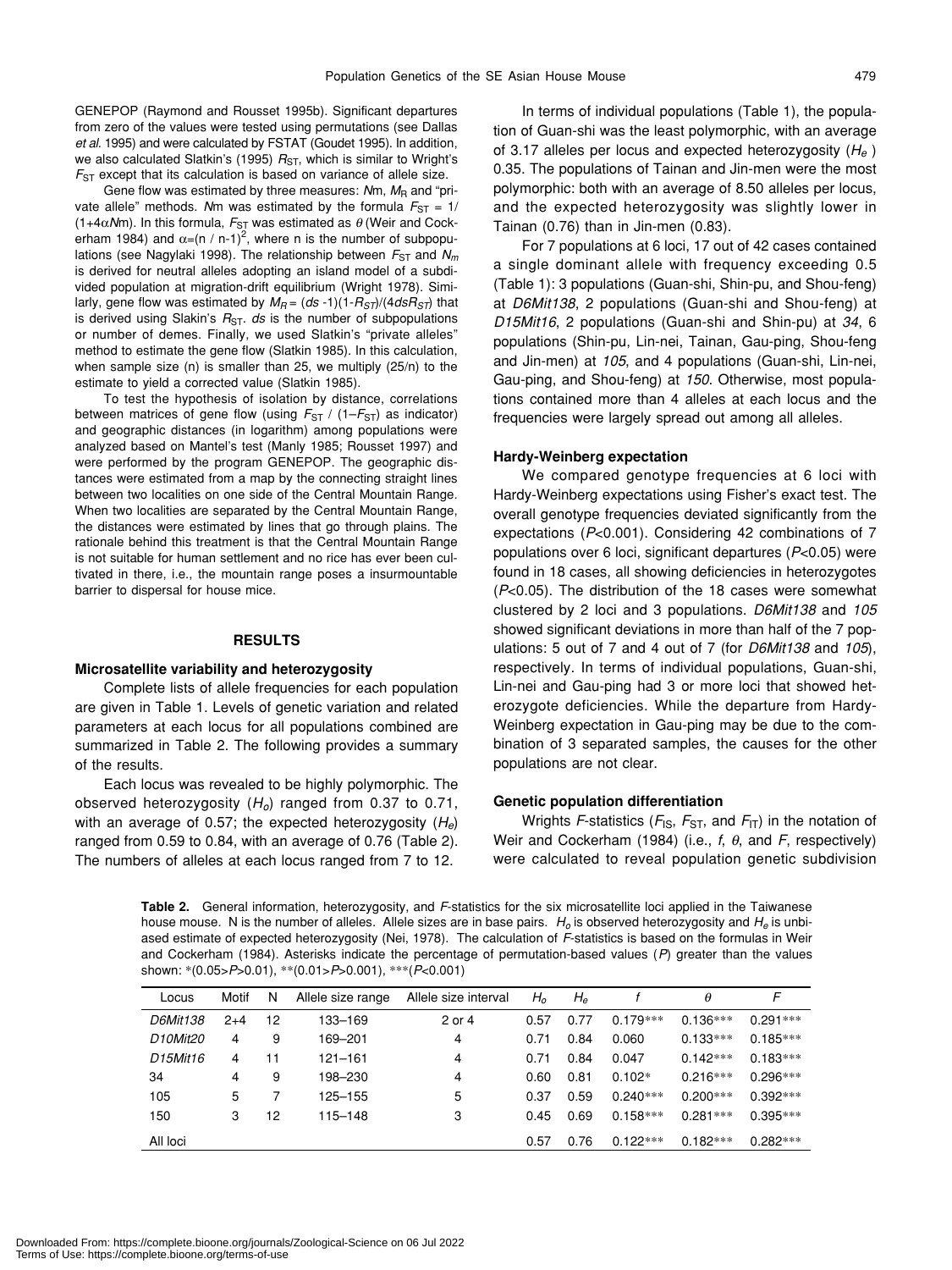GENEPOP (Raymond and Rousset 1995b). Significant departures from zero of the values were tested using permutations (see Dallas *et al.* 1995) and were calculated by FSTAT (Goudet 1995). In addition, we also calculated Slatkin's (1995)  $R_{ST}$ , which is similar to Wright's *F*<sub>ST</sub> except that its calculation is based on variance of allele size.

Gene flow was estimated by three measures: Nm,  $M_R$  and "private allele" methods. *N*m was estimated by the formula  $F_{ST} = 1/2$ (1+4 $\alpha$ Mm). In this formula,  $F_{ST}$  was estimated as  $\theta$  (Weir and Cockerham 1984) and  $\alpha = (n / n-1)^2$ , where n is the number of subpopulations (see Nagylaki 1998). The relationship between  $F_{ST}$  and  $N_m$ is derived for neutral alleles adopting an island model of a subdivided population at migration-drift equilibrium (Wright 1978). Similarly, gene flow was estimated by  $M_R = (ds - 1)(1 - R_{ST})/(4 ds R_{ST})$  that is derived using Slakin's  $R_{ST}$ . *ds* is the number of subpopulations or number of demes. Finally, we used Slatkin's "private alleles" method to estimate the gene flow (Slatkin 1985). In this calculation, when sample size (n) is smaller than 25, we multiply (25/n) to the estimate to yield a corrected value (Slatkin 1985).

To test the hypothesis of isolation by distance, correlations between matrices of gene flow (using  $F_{ST}$  / (1– $F_{ST}$ ) as indicator) and geographic distances (in logarithm) among populations were analyzed based on Mantel's test (Manly 1985; Rousset 1997) and were performed by the program GENEPOP. The geographic distances were estimated from a map by the connecting straight lines between two localities on one side of the Central Mountain Range. When two localities are separated by the Central Mountain Range, the distances were estimated by lines that go through plains. The rationale behind this treatment is that the Central Mountain Range is not suitable for human settlement and no rice has ever been cultivated in there, i.e., the mountain range poses a insurmountable barrier to dispersal for house mice.

# **RESULTS**

# **Microsatellite variability and heterozygosity**

Complete lists of allele frequencies for each population are given in Table 1. Levels of genetic variation and related parameters at each locus for all populations combined are summarized in Table 2. The following provides a summary of the results.

Each locus was revealed to be highly polymorphic. The observed heterozygosity (*Ho*) ranged from 0.37 to 0.71, with an average of 0.57; the expected heterozygosity (*He*) ranged from 0.59 to 0.84, with an average of 0.76 (Table 2). The numbers of alleles at each locus ranged from 7 to 12.

In terms of individual populations (Table 1), the population of Guan-shi was the least polymorphic, with an average of 3.17 alleles per locus and expected heterozygosity (*He* ) 0.35. The populations of Tainan and Jin-men were the most polymorphic: both with an average of 8.50 alleles per locus, and the expected heterozygosity was slightly lower in Tainan (0.76) than in Jin-men (0.83).

For 7 populations at 6 loci, 17 out of 42 cases contained a single dominant allele with frequency exceeding 0.5 (Table 1): 3 populations (Guan-shi, Shin-pu, and Shou-feng) at *D6Mit138*, 2 populations (Guan-shi and Shou-feng) at *D15Mit16*, 2 populations (Guan-shi and Shin-pu) at *34*, 6 populations (Shin-pu, Lin-nei, Tainan, Gau-ping, Shou-feng and Jin-men) at *105*, and 4 populations (Guan-shi, Lin-nei, Gau-ping, and Shou-feng) at *150*. Otherwise, most populations contained more than 4 alleles at each locus and the frequencies were largely spread out among all alleles.

#### **Hardy-Weinberg expectation**

We compared genotype frequencies at 6 loci with Hardy-Weinberg expectations using Fisher's exact test. The overall genotype frequencies deviated significantly from the expectations (*P*<0.001). Considering 42 combinations of 7 populations over 6 loci, significant departures (*P*<0.05) were found in 18 cases, all showing deficiencies in heterozygotes (*P*<0.05). The distribution of the 18 cases were somewhat clustered by 2 loci and 3 populations. *D6Mit138* and *105* showed significant deviations in more than half of the 7 populations: 5 out of 7 and 4 out of 7 (for *D6Mit138* and *105*), respectively. In terms of individual populations, Guan-shi, Lin-nei and Gau-ping had 3 or more loci that showed heterozygote deficiencies. While the departure from Hardy-Weinberg expectation in Gau-ping may be due to the combination of 3 separated samples, the causes for the other populations are not clear.

## **Genetic population differentiation**

Wrights *F*-statistics ( $F_{\text{IS}}$ ,  $F_{\text{ST}}$ , and  $F_{\text{IT}}$ ) in the notation of Weir and Cockerham (1984) (i.e., *f*, θ, and *F*, respectively) were calculated to reveal population genetic subdivision

**Table 2.** General information, heterozygosity, and *F*-statistics for the six microsatellite loci applied in the Taiwanese house mouse. N is the number of alleles. Allele sizes are in base pairs. *Ho* is observed heterozygosity and *He* is unbiased estimate of expected heterozygosity (Nei, 1978). The calculation of *F*-statistics is based on the formulas in Weir and Cockerham (1984). Asterisks indicate the percentage of permutation-based values (*P*) greater than the values shown: \*(0.05>*P*>0.01), \*\*(0.01>*P*>0.001), \*\*\*(*P*<0.001)

| Locus                             | Motif | N  | Allele size range | Allele size interval | $H_{\alpha}$ | $H_{\scriptscriptstyle\mathsf{P}}$ |            | θ          | F          |
|-----------------------------------|-------|----|-------------------|----------------------|--------------|------------------------------------|------------|------------|------------|
| D6Mit138                          | $2+4$ | 12 | 133–169           | 2 or 4               | 0.57         | 0.77                               | $0.179***$ | $0.136***$ | $0.291***$ |
| D <sub>10Mit20</sub>              | 4     | 9  | 169-201           | 4                    | 0.71         | 0.84                               | 0.060      | $0.133***$ | $0.185***$ |
| D <sub>15</sub> Mit <sub>16</sub> | 4     | 11 | 121–161           | 4                    | 0.71         | 0.84                               | 0.047      | $0.142***$ | $0.183***$ |
| 34                                | 4     | 9  | 198–230           | 4                    | 0.60         | 0.81                               | $0.102*$   | $0.216***$ | $0.296***$ |
| 105                               | 5     |    | 125–155           | 5                    | 0.37         | 0.59                               | $0.240***$ | $0.200***$ | $0.392***$ |
| 150                               | 3     | 12 | 115–148           | 3                    | 0.45         | 0.69                               | $0.158***$ | $0.281***$ | $0.395***$ |
| All loci                          |       |    |                   |                      | 0.57         | 0.76                               | $0.122***$ | $0.182***$ | $0.282***$ |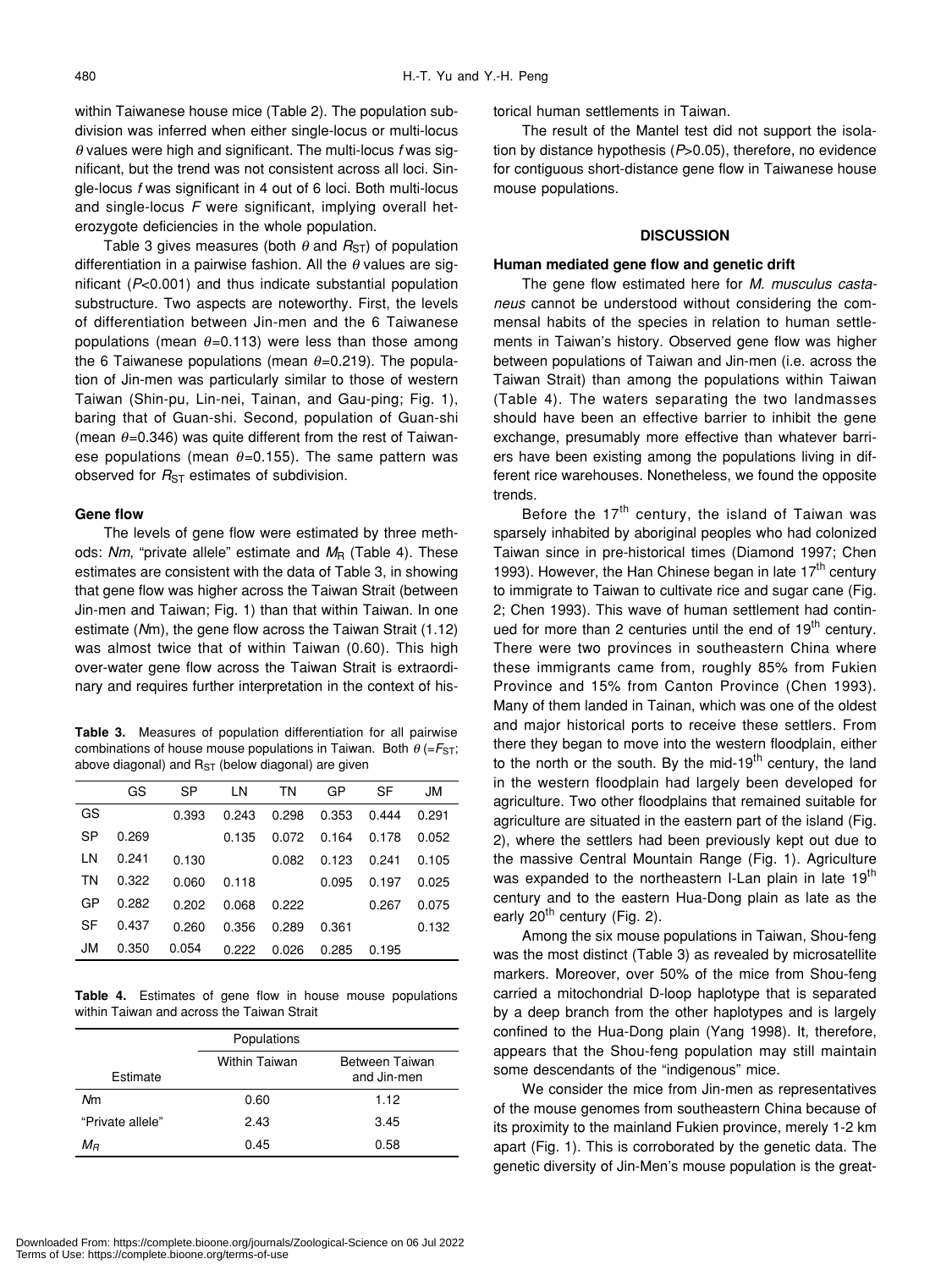within Taiwanese house mice (Table 2). The population subdivision was inferred when either single-locus or multi-locus θ values were high and significant. The multi-locus *f* was significant, but the trend was not consistent across all loci. Single-locus *f* was significant in 4 out of 6 loci. Both multi-locus and single-locus *F* were significant, implying overall heterozygote deficiencies in the whole population.

Table 3 gives measures (both  $\theta$  and  $R_{ST}$ ) of population differentiation in a pairwise fashion. All the  $\theta$  values are significant (*P*<0.001) and thus indicate substantial population substructure. Two aspects are noteworthy. First, the levels of differentiation between Jin-men and the 6 Taiwanese populations (mean  $\theta$ =0.113) were less than those among the 6 Taiwanese populations (mean  $\theta$ =0.219). The population of Jin-men was particularly similar to those of western Taiwan (Shin-pu, Lin-nei, Tainan, and Gau-ping; Fig. 1), baring that of Guan-shi. Second, population of Guan-shi (mean  $\theta$ =0.346) was quite different from the rest of Taiwanese populations (mean  $\theta$ =0.155). The same pattern was observed for  $R_{ST}$  estimates of subdivision.

# **Gene flow**

The levels of gene flow were estimated by three methods: Nm, "private allele" estimate and M<sub>R</sub> (Table 4). These estimates are consistent with the data of Table 3, in showing that gene flow was higher across the Taiwan Strait (between Jin-men and Taiwan; Fig. 1) than that within Taiwan. In one estimate (*N*m), the gene flow across the Taiwan Strait (1.12) was almost twice that of within Taiwan (0.60). This high over-water gene flow across the Taiwan Strait is extraordinary and requires further interpretation in the context of his-

**Table 3.** Measures of population differentiation for all pairwise combinations of house mouse populations in Taiwan. Both  $\theta$  (= $F_{ST}$ ; above diagonal) and  $R_{ST}$  (below diagonal) are given

|    | GS    | SP    | LN    | TN    | GP    | SF    | JM    |
|----|-------|-------|-------|-------|-------|-------|-------|
| GS |       | 0.393 | 0.243 | 0.298 | 0.353 | 0.444 | 0.291 |
| SP | 0.269 |       | 0.135 | 0.072 | 0.164 | 0.178 | 0.052 |
| LN | 0.241 | 0.130 |       | 0.082 | 0.123 | 0.241 | 0.105 |
| ΤN | 0.322 | 0.060 | 0.118 |       | 0.095 | 0.197 | 0.025 |
| GP | 0.282 | 0.202 | 0.068 | 0.222 |       | 0.267 | 0.075 |
| SF | 0.437 | 0.260 | 0.356 | 0.289 | 0.361 |       | 0.132 |
| JM | 0.350 | 0.054 | 0.222 | 0.026 | 0.285 | 0.195 |       |

**Table 4.** Estimates of gene flow in house mouse populations within Taiwan and across the Taiwan Strait

|                  | Populations          |                               |
|------------------|----------------------|-------------------------------|
| Estimate         | <b>Within Taiwan</b> | Between Taiwan<br>and Jin-men |
| Nm               | 0.60                 | 1.12                          |
| "Private allele" | 2.43                 | 3.45                          |
| $M_{B}$          | 0.45                 | 0.58                          |

torical human settlements in Taiwan.

The result of the Mantel test did not support the isolation by distance hypothesis (*P*>0.05), therefore, no evidence for contiguous short-distance gene flow in Taiwanese house mouse populations.

# **DISCUSSION**

#### **Human mediated gene flow and genetic drift**

The gene flow estimated here for *M. musculus castaneus* cannot be understood without considering the commensal habits of the species in relation to human settlements in Taiwan's history. Observed gene flow was higher between populations of Taiwan and Jin-men (i.e. across the Taiwan Strait) than among the populations within Taiwan (Table 4). The waters separating the two landmasses should have been an effective barrier to inhibit the gene exchange, presumably more effective than whatever barriers have been existing among the populations living in different rice warehouses. Nonetheless, we found the opposite trends.

Before the  $17<sup>th</sup>$  century, the island of Taiwan was sparsely inhabited by aboriginal peoples who had colonized Taiwan since in pre-historical times (Diamond 1997; Chen 1993). However, the Han Chinese began in late  $17<sup>th</sup>$  century to immigrate to Taiwan to cultivate rice and sugar cane (Fig. 2; Chen 1993). This wave of human settlement had continued for more than 2 centuries until the end of  $19<sup>th</sup>$  century. There were two provinces in southeastern China where these immigrants came from, roughly 85% from Fukien Province and 15% from Canton Province (Chen 1993). Many of them landed in Tainan, which was one of the oldest and major historical ports to receive these settlers. From there they began to move into the western floodplain, either to the north or the south. By the mid-19<sup>th</sup> century, the land in the western floodplain had largely been developed for agriculture. Two other floodplains that remained suitable for agriculture are situated in the eastern part of the island (Fig. 2), where the settlers had been previously kept out due to the massive Central Mountain Range (Fig. 1). Agriculture was expanded to the northeastern I-Lan plain in late 19<sup>th</sup> century and to the eastern Hua-Dong plain as late as the early  $20^{th}$  century (Fig. 2).

Among the six mouse populations in Taiwan, Shou-feng was the most distinct (Table 3) as revealed by microsatellite markers. Moreover, over 50% of the mice from Shou-feng carried a mitochondrial D-loop haplotype that is separated by a deep branch from the other haplotypes and is largely confined to the Hua-Dong plain (Yang 1998). It, therefore, appears that the Shou-feng population may still maintain some descendants of the "indigenous" mice.

We consider the mice from Jin-men as representatives of the mouse genomes from southeastern China because of its proximity to the mainland Fukien province, merely 1-2 km apart (Fig. 1). This is corroborated by the genetic data. The genetic diversity of Jin-Men's mouse population is the great-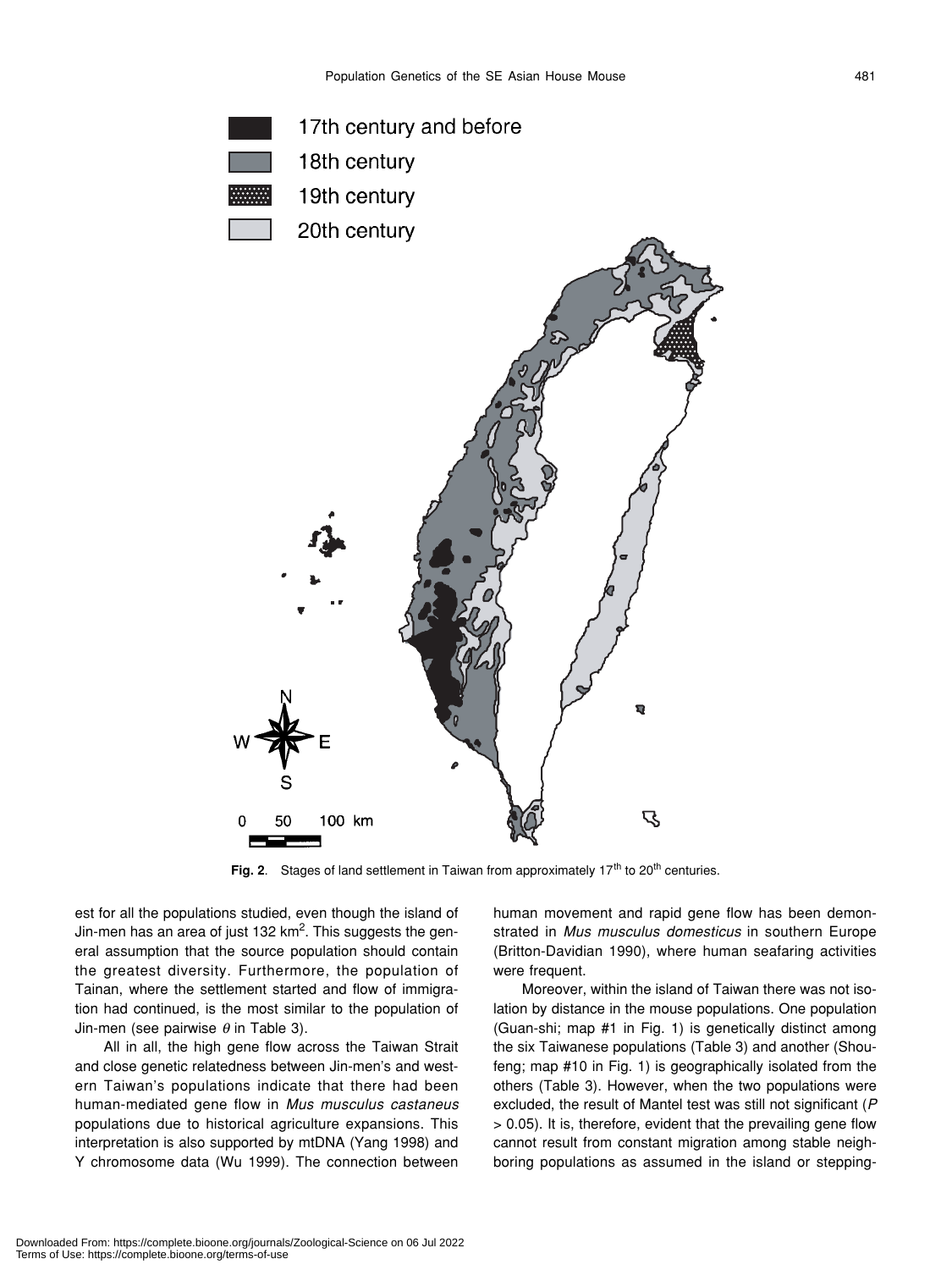

Fig. 2. Stages of land settlement in Taiwan from approximately 17<sup>th</sup> to 20<sup>th</sup> centuries.

est for all the populations studied, even though the island of Jin-men has an area of just 132 km<sup>2</sup>. This suggests the general assumption that the source population should contain the greatest diversity. Furthermore, the population of Tainan, where the settlement started and flow of immigration had continued, is the most similar to the population of Jin-men (see pairwise  $\theta$  in Table 3).

All in all, the high gene flow across the Taiwan Strait and close genetic relatedness between Jin-men's and western Taiwan's populations indicate that there had been human-mediated gene flow in *Mus musculus castaneus* populations due to historical agriculture expansions. This interpretation is also supported by mtDNA (Yang 1998) and Y chromosome data (Wu 1999). The connection between

human movement and rapid gene flow has been demonstrated in *Mus musculus domesticus* in southern Europe (Britton-Davidian 1990), where human seafaring activities were frequent.

Moreover, within the island of Taiwan there was not isolation by distance in the mouse populations. One population (Guan-shi; map #1 in Fig. 1) is genetically distinct among the six Taiwanese populations (Table 3) and another (Shoufeng; map #10 in Fig. 1) is geographically isolated from the others (Table 3). However, when the two populations were excluded, the result of Mantel test was still not significant (*P* > 0.05). It is, therefore, evident that the prevailing gene flow cannot result from constant migration among stable neighboring populations as assumed in the island or stepping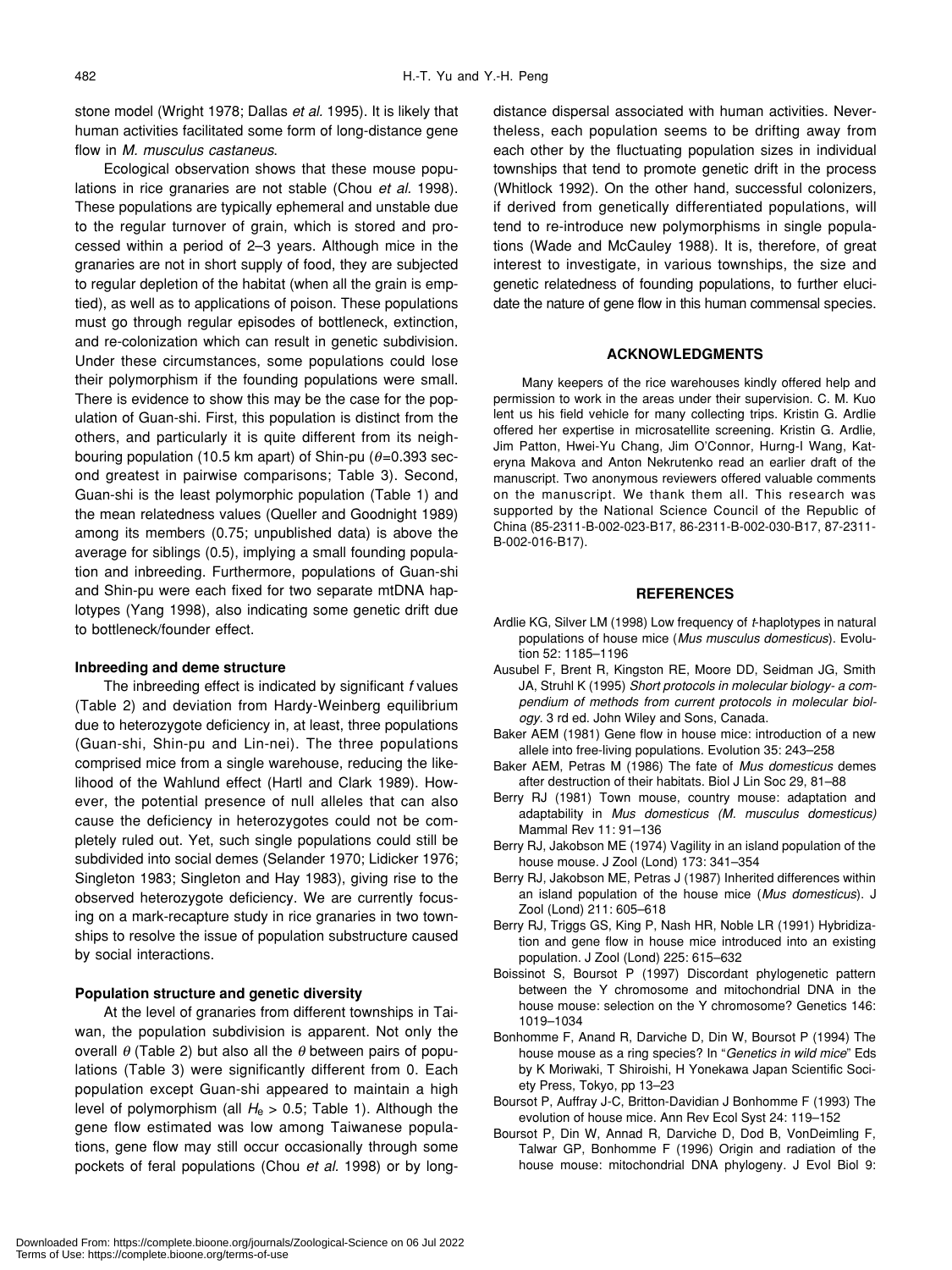stone model (Wright 1978; Dallas *et al.* 1995). It is likely that human activities facilitated some form of long-distance gene flow in *M. musculus castaneus*.

Ecological observation shows that these mouse populations in rice granaries are not stable (Chou *et al.* 1998). These populations are typically ephemeral and unstable due to the regular turnover of grain, which is stored and processed within a period of 2–3 years. Although mice in the granaries are not in short supply of food, they are subjected to regular depletion of the habitat (when all the grain is emptied), as well as to applications of poison. These populations must go through regular episodes of bottleneck, extinction, and re-colonization which can result in genetic subdivision. Under these circumstances, some populations could lose their polymorphism if the founding populations were small. There is evidence to show this may be the case for the population of Guan-shi. First, this population is distinct from the others, and particularly it is quite different from its neighbouring population (10.5 km apart) of Shin-pu ( $\theta$ =0.393 second greatest in pairwise comparisons; Table 3). Second, Guan-shi is the least polymorphic population (Table 1) and the mean relatedness values (Queller and Goodnight 1989) among its members (0.75; unpublished data) is above the average for siblings (0.5), implying a small founding population and inbreeding. Furthermore, populations of Guan-shi and Shin-pu were each fixed for two separate mtDNA haplotypes (Yang 1998), also indicating some genetic drift due to bottleneck/founder effect.

# **Inbreeding and deme structure**

The inbreeding effect is indicated by significant *f* values (Table 2) and deviation from Hardy-Weinberg equilibrium due to heterozygote deficiency in, at least, three populations (Guan-shi, Shin-pu and Lin-nei). The three populations comprised mice from a single warehouse, reducing the likelihood of the Wahlund effect (Hartl and Clark 1989). However, the potential presence of null alleles that can also cause the deficiency in heterozygotes could not be completely ruled out. Yet, such single populations could still be subdivided into social demes (Selander 1970; Lidicker 1976; Singleton 1983; Singleton and Hay 1983), giving rise to the observed heterozygote deficiency. We are currently focusing on a mark-recapture study in rice granaries in two townships to resolve the issue of population substructure caused by social interactions.

# **Population structure and genetic diversity**

At the level of granaries from different townships in Taiwan, the population subdivision is apparent. Not only the overall  $\theta$  (Table 2) but also all the  $\theta$  between pairs of populations (Table 3) were significantly different from 0. Each population except Guan-shi appeared to maintain a high level of polymorphism (all  $H_e > 0.5$ ; Table 1). Although the gene flow estimated was low among Taiwanese populations, gene flow may still occur occasionally through some pockets of feral populations (Chou *et al.* 1998) or by longdistance dispersal associated with human activities. Nevertheless, each population seems to be drifting away from each other by the fluctuating population sizes in individual townships that tend to promote genetic drift in the process (Whitlock 1992). On the other hand, successful colonizers, if derived from genetically differentiated populations, will tend to re-introduce new polymorphisms in single populations (Wade and McCauley 1988). It is, therefore, of great interest to investigate, in various townships, the size and genetic relatedness of founding populations, to further elucidate the nature of gene flow in this human commensal species.

## **ACKNOWLEDGMENTS**

Many keepers of the rice warehouses kindly offered help and permission to work in the areas under their supervision. C. M. Kuo lent us his field vehicle for many collecting trips. Kristin G. Ardlie offered her expertise in microsatellite screening. Kristin G. Ardlie, Jim Patton, Hwei-Yu Chang, Jim O'Connor, Hurng-I Wang, Kateryna Makova and Anton Nekrutenko read an earlier draft of the manuscript. Two anonymous reviewers offered valuable comments on the manuscript. We thank them all. This research was supported by the National Science Council of the Republic of China (85-2311-B-002-023-B17, 86-2311-B-002-030-B17, 87-2311- B-002-016-B17).

# **REFERENCES**

- Ardlie KG, Silver LM (1998) Low frequency of *t*-haplotypes in natural populations of house mice (*Mus musculus domesticus*). Evolution 52: 1185–1196
- Ausubel F, Brent R, Kingston RE, Moore DD, Seidman JG, Smith JA, Struhl K (1995) *Short protocols in molecular biology- a compendium of methods from current protocols in molecular biology*. 3 rd ed. John Wiley and Sons, Canada.
- Baker AEM (1981) Gene flow in house mice: introduction of a new allele into free-living populations. Evolution 35: 243–258
- Baker AEM, Petras M (1986) The fate of *Mus domesticus* demes after destruction of their habitats. Biol J Lin Soc 29, 81–88
- Berry RJ (1981) Town mouse, country mouse: adaptation and adaptability in *Mus domesticus (M. musculus domesticus)* Mammal Rev 11: 91–136
- Berry RJ, Jakobson ME (1974) Vagility in an island population of the house mouse. J Zool (Lond) 173: 341–354
- Berry RJ, Jakobson ME, Petras J (1987) Inherited differences within an island population of the house mice (*Mus domesticus*). J Zool (Lond) 211: 605–618
- Berry RJ, Triggs GS, King P, Nash HR, Noble LR (1991) Hybridization and gene flow in house mice introduced into an existing population. J Zool (Lond) 225: 615–632
- Boissinot S, Boursot P (1997) Discordant phylogenetic pattern between the Y chromosome and mitochondrial DNA in the house mouse: selection on the Y chromosome? Genetics 146: 1019–1034
- Bonhomme F, Anand R, Darviche D, Din W, Boursot P (1994) The house mouse as a ring species? In "*Genetics in wild mice*" Eds by K Moriwaki, T Shiroishi, H Yonekawa Japan Scientific Society Press, Tokyo, pp 13–23
- Boursot P, Auffray J-C, Britton-Davidian J Bonhomme F (1993) The evolution of house mice. Ann Rev Ecol Syst 24: 119–152
- Boursot P, Din W, Annad R, Darviche D, Dod B, VonDeimling F, Talwar GP, Bonhomme F (1996) Origin and radiation of the house mouse: mitochondrial DNA phylogeny. J Evol Biol 9: